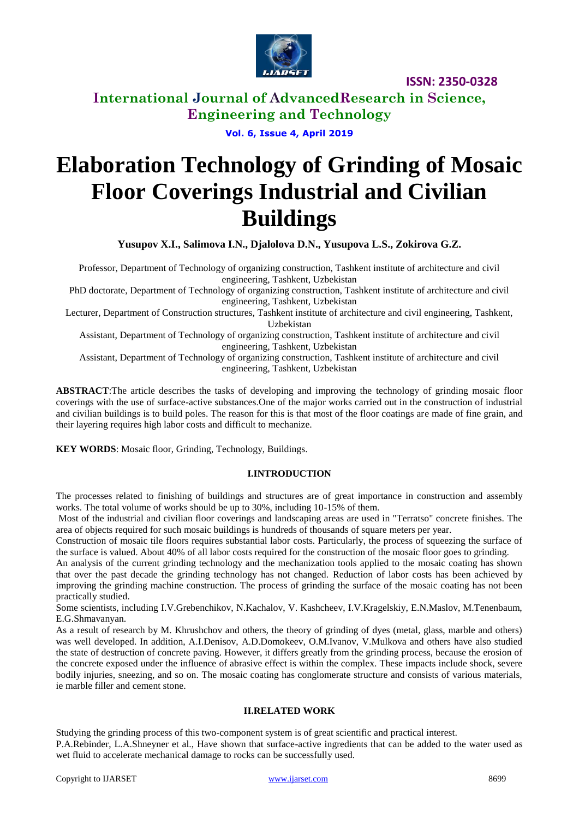

**International Journal of AdvancedResearch in Science, Engineering and Technology**

**Vol. 6, Issue 4, April 2019**

# **Elaboration Technology of Grinding of Mosaic Floor Coverings Industrial and Civilian Buildings**

**Yusupov X.I., Salimova I.N., Djalolova D.N., Yusupova L.S., Zokirova G.Z.**

Professor, Department of Technology of organizing construction, Tashkent institute of architecture and civil engineering, Tashkent, Uzbekistan

PhD doctorate, Department of Technology of organizing construction, Tashkent institute of architecture and civil engineering, Tashkent, Uzbekistan

Lecturer, Department of Construction structures, Tashkent institute of architecture and civil engineering, Tashkent, Uzbekistan

Assistant, Department of Technology of organizing construction, Tashkent institute of architecture and civil engineering, Tashkent, Uzbekistan

Assistant, Department of Technology of organizing construction, Tashkent institute of architecture and civil engineering, Tashkent, Uzbekistan

**ABSTRACT**:The article describes the tasks of developing and improving the technology of grinding mosaic floor coverings with the use of surface-active substances.One of the major works carried out in the construction of industrial and civilian buildings is to build poles. The reason for this is that most of the floor coatings are made of fine grain, and their layering requires high labor costs and difficult to mechanize.

**KEY WORDS**: Mosaic floor, Grinding, Technology, Buildings.

#### **I.INTRODUCTION**

The processes related to finishing of buildings and structures are of great importance in construction and assembly works. The total volume of works should be up to 30%, including 10-15% of them.

Most of the industrial and civilian floor coverings and landscaping areas are used in "Terratso" concrete finishes. The area of objects required for such mosaic buildings is hundreds of thousands of square meters per year.

Construction of mosaic tile floors requires substantial labor costs. Particularly, the process of squeezing the surface of the surface is valued. About 40% of all labor costs required for the construction of the mosaic floor goes to grinding.

An analysis of the current grinding technology and the mechanization tools applied to the mosaic coating has shown that over the past decade the grinding technology has not changed. Reduction of labor costs has been achieved by improving the grinding machine construction. The process of grinding the surface of the mosaic coating has not been practically studied.

Some scientists, including I.V.Grebenchikov, N.Kachalov, V. Kashcheev, I.V.Kragelskiy, E.N.Maslov, M.Tenenbaum, E.G.Shmavanyan.

As a result of research by M. Khrushchov and others, the theory of grinding of dyes (metal, glass, marble and others) was well developed. In addition, A.I.Denisov, A.D.Domokeev, O.M.Ivanov, V.Mulkova and others have also studied the state of destruction of concrete paving. However, it differs greatly from the grinding process, because the erosion of the concrete exposed under the influence of abrasive effect is within the complex. These impacts include shock, severe bodily injuries, sneezing, and so on. The mosaic coating has conglomerate structure and consists of various materials, ie marble filler and cement stone.

#### **II.RELATED WORK**

Studying the grinding process of this two-component system is of great scientific and practical interest. P.A.Rebinder, L.A.Shneyner et al., Have shown that surface-active ingredients that can be added to the water used as wet fluid to accelerate mechanical damage to rocks can be successfully used.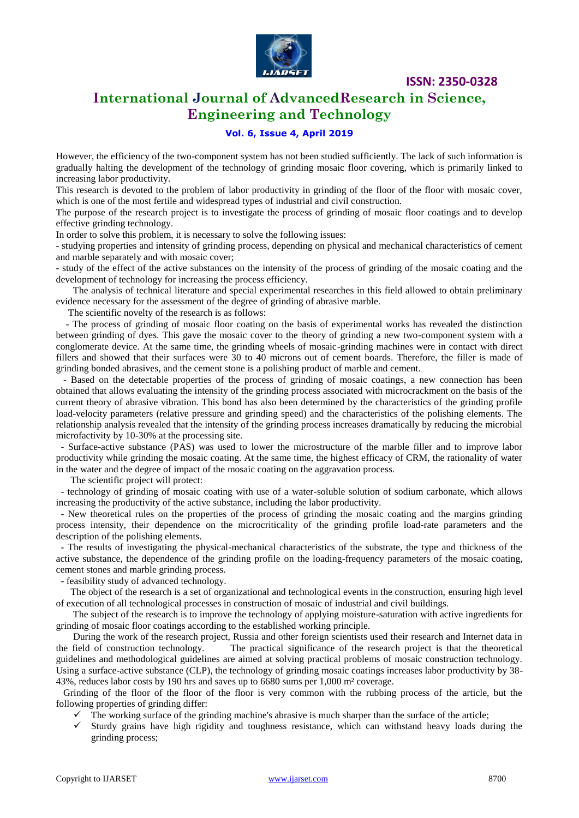

# **International Journal of AdvancedResearch in Science, Engineering and Technology**

## **Vol. 6, Issue 4, April 2019**

However, the efficiency of the two-component system has not been studied sufficiently. The lack of such information is gradually halting the development of the technology of grinding mosaic floor covering, which is primarily linked to increasing labor productivity.

This research is devoted to the problem of labor productivity in grinding of the floor of the floor with mosaic cover, which is one of the most fertile and widespread types of industrial and civil construction.

The purpose of the research project is to investigate the process of grinding of mosaic floor coatings and to develop effective grinding technology.

In order to solve this problem, it is necessary to solve the following issues:

- studying properties and intensity of grinding process, depending on physical and mechanical characteristics of cement and marble separately and with mosaic cover;

- study of the effect of the active substances on the intensity of the process of grinding of the mosaic coating and the development of technology for increasing the process efficiency.

The analysis of technical literature and special experimental researches in this field allowed to obtain preliminary evidence necessary for the assessment of the degree of grinding of abrasive marble.

The scientific novelty of the research is as follows:

- The process of grinding of mosaic floor coating on the basis of experimental works has revealed the distinction between grinding of dyes. This gave the mosaic cover to the theory of grinding a new two-component system with a conglomerate device. At the same time, the grinding wheels of mosaic-grinding machines were in contact with direct fillers and showed that their surfaces were 30 to 40 microns out of cement boards. Therefore, the filler is made of grinding bonded abrasives, and the cement stone is a polishing product of marble and cement.

- Based on the detectable properties of the process of grinding of mosaic coatings, a new connection has been obtained that allows evaluating the intensity of the grinding process associated with microcrackment on the basis of the current theory of abrasive vibration. This bond has also been determined by the characteristics of the grinding profile load-velocity parameters (relative pressure and grinding speed) and the characteristics of the polishing elements. The relationship analysis revealed that the intensity of the grinding process increases dramatically by reducing the microbial microfactivity by 10-30% at the processing site.

- Surface-active substance (PAS) was used to lower the microstructure of the marble filler and to improve labor productivity while grinding the mosaic coating. At the same time, the highest efficacy of CRM, the rationality of water in the water and the degree of impact of the mosaic coating on the aggravation process.

The scientific project will protect:

- technology of grinding of mosaic coating with use of a water-soluble solution of sodium carbonate, which allows increasing the productivity of the active substance, including the labor productivity.

- New theoretical rules on the properties of the process of grinding the mosaic coating and the margins grinding process intensity, their dependence on the microcriticality of the grinding profile load-rate parameters and the description of the polishing elements.

- The results of investigating the physical-mechanical characteristics of the substrate, the type and thickness of the active substance, the dependence of the grinding profile on the loading-frequency parameters of the mosaic coating, cement stones and marble grinding process.

- feasibility study of advanced technology.

The object of the research is a set of organizational and technological events in the construction, ensuring high level of execution of all technological processes in construction of mosaic of industrial and civil buildings.

The subject of the research is to improve the technology of applying moisture-saturation with active ingredients for grinding of mosaic floor coatings according to the established working principle.

During the work of the research project, Russia and other foreign scientists used their research and Internet data in the field of construction technology. The practical significance of the research project is that the theoretical guidelines and methodological guidelines are aimed at solving practical problems of mosaic construction technology. Using a surface-active substance (CLP), the technology of grinding mosaic coatings increases labor productivity by 38- 43%, reduces labor costs by 190 hrs and saves up to 6680 sums per 1,000 m² coverage.

Grinding of the floor of the floor of the floor is very common with the rubbing process of the article, but the following properties of grinding differ:

- $\checkmark$  The working surface of the grinding machine's abrasive is much sharper than the surface of the article;
- $\checkmark$  Sturdy grains have high rigidity and toughness resistance, which can withstand heavy loads during the grinding process;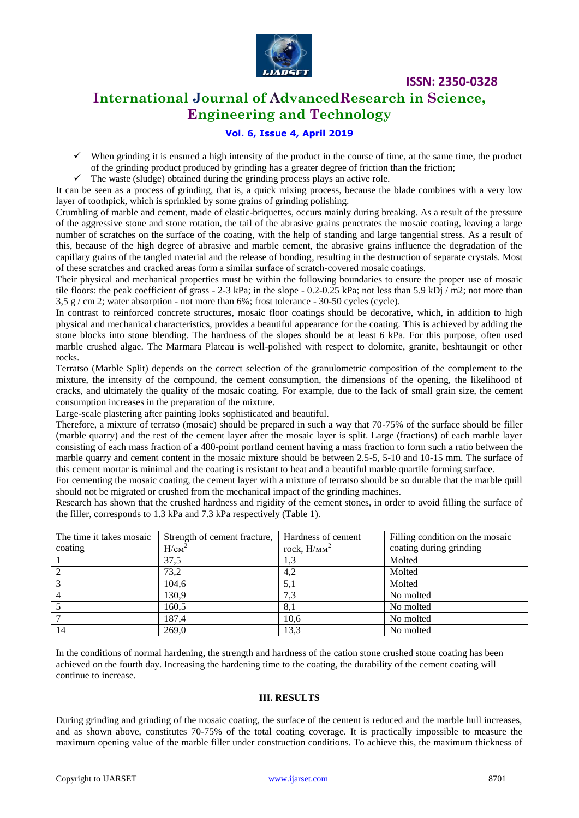

# **International Journal of AdvancedResearch in Science, Engineering and Technology**

## **Vol. 6, Issue 4, April 2019**

- $\checkmark$  When grinding it is ensured a high intensity of the product in the course of time, at the same time, the product of the grinding product produced by grinding has a greater degree of friction than the friction;
- $\checkmark$  The waste (sludge) obtained during the grinding process plays an active role.

It can be seen as a process of grinding, that is, a quick mixing process, because the blade combines with a very low layer of toothpick, which is sprinkled by some grains of grinding polishing.

Crumbling of marble and cement, made of elastic-briquettes, occurs mainly during breaking. As a result of the pressure of the aggressive stone and stone rotation, the tail of the abrasive grains penetrates the mosaic coating, leaving a large number of scratches on the surface of the coating, with the help of standing and large tangential stress. As a result of this, because of the high degree of abrasive and marble cement, the abrasive grains influence the degradation of the capillary grains of the tangled material and the release of bonding, resulting in the destruction of separate crystals. Most of these scratches and cracked areas form a similar surface of scratch-covered mosaic coatings.

Their physical and mechanical properties must be within the following boundaries to ensure the proper use of mosaic tile floors: the peak coefficient of grass - 2-3 kPa; in the slope - 0.2-0.25 kPa; not less than 5.9 kDj / m2; not more than 3,5 g / cm 2; water absorption - not more than 6%; frost tolerance - 30-50 cycles (cycle).

In contrast to reinforced concrete structures, mosaic floor coatings should be decorative, which, in addition to high physical and mechanical characteristics, provides a beautiful appearance for the coating. This is achieved by adding the stone blocks into stone blending. The hardness of the slopes should be at least 6 kPa. For this purpose, often used marble crushed algae. The Marmara Plateau is well-polished with respect to dolomite, granite, beshtaungit or other rocks.

Terratso (Marble Split) depends on the correct selection of the granulometric composition of the complement to the mixture, the intensity of the compound, the cement consumption, the dimensions of the opening, the likelihood of cracks, and ultimately the quality of the mosaic coating. For example, due to the lack of small grain size, the cement consumption increases in the preparation of the mixture.

Large-scale plastering after painting looks sophisticated and beautiful.

Therefore, a mixture of terratso (mosaic) should be prepared in such a way that 70-75% of the surface should be filler (marble quarry) and the rest of the cement layer after the mosaic layer is split. Large (fractions) of each marble layer consisting of each mass fraction of a 400-point portland cement having a mass fraction to form such a ratio between the marble quarry and cement content in the mosaic mixture should be between 2.5-5, 5-10 and 10-15 mm. The surface of this cement mortar is minimal and the coating is resistant to heat and a beautiful marble quartile forming surface.

For cementing the mosaic coating, the cement layer with a mixture of terratso should be so durable that the marble quill should not be migrated or crushed from the mechanical impact of the grinding machines.

Research has shown that the crushed hardness and rigidity of the cement stones, in order to avoid filling the surface of the filler, corresponds to 1.3 kPa and 7.3 kPa respectively (Table 1).

| The time it takes mosaic | Strength of cement fracture, | Hardness of cement | Filling condition on the mosaic |
|--------------------------|------------------------------|--------------------|---------------------------------|
| coating                  | H/cm <sup>2</sup>            | rock, $H/MM^2$     | coating during grinding         |
|                          | 37,5                         | 1,3                | Molted                          |
|                          | 73,2                         | 4,2                | Molted                          |
|                          | 104,6                        | 5,1                | Molted                          |
|                          | 130.9                        | 7.3                | No molted                       |
|                          | 160.5                        | 8.1                | No molted                       |
|                          | 187,4                        | 10,6               | No molted                       |
| 14                       | 269,0                        | 13,3               | No molted                       |

In the conditions of normal hardening, the strength and hardness of the cation stone crushed stone coating has been achieved on the fourth day. Increasing the hardening time to the coating, the durability of the cement coating will continue to increase.

## **III. RESULTS**

During grinding and grinding of the mosaic coating, the surface of the cement is reduced and the marble hull increases, and as shown above, constitutes 70-75% of the total coating coverage. It is practically impossible to measure the maximum opening value of the marble filler under construction conditions. To achieve this, the maximum thickness of